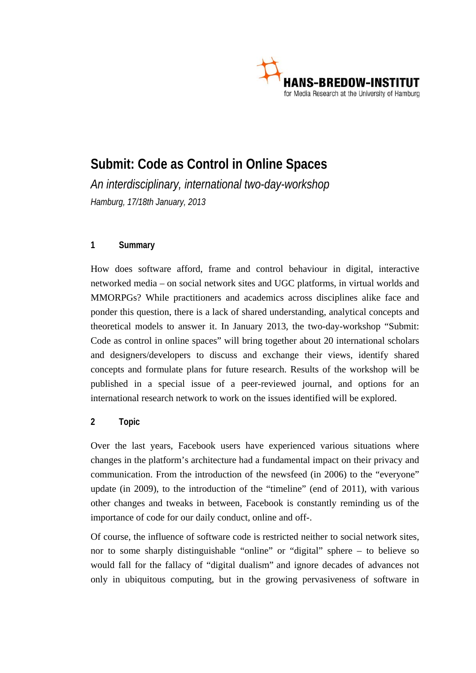

# **Submit: Code as Control in Online Spaces**

*An interdisciplinary, international two-day-workshop Hamburg, 17/18th January, 2013* 

# **1 Summary**

How does software afford, frame and control behaviour in digital, interactive networked media – on social network sites and UGC platforms, in virtual worlds and MMORPGs? While practitioners and academics across disciplines alike face and ponder this question, there is a lack of shared understanding, analytical concepts and theoretical models to answer it. In January 2013, the two-day-workshop "Submit: Code as control in online spaces" will bring together about 20 international scholars and designers/developers to discuss and exchange their views, identify shared concepts and formulate plans for future research. Results of the workshop will be published in a special issue of a peer-reviewed journal, and options for an international research network to work on the issues identified will be explored.

# **2 Topic**

Over the last years, Facebook users have experienced various situations where changes in the platform's architecture had a fundamental impact on their privacy and communication. From the introduction of the newsfeed (in 2006) to the "everyone" update (in 2009), to the introduction of the "timeline" (end of 2011), with various other changes and tweaks in between, Facebook is constantly reminding us of the importance of code for our daily conduct, online and off-.

Of course, the influence of software code is restricted neither to social network sites, nor to some sharply distinguishable "online" or "digital" sphere – to believe so would fall for the fallacy of "digital dualism" and ignore decades of advances not only in ubiquitous computing, but in the growing pervasiveness of software in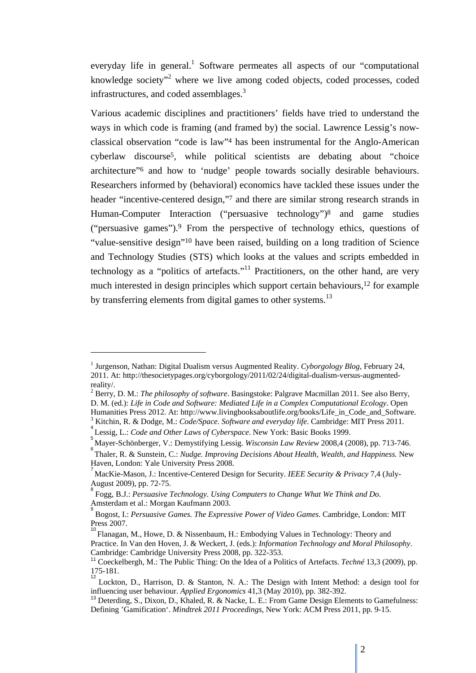everyday life in general.<sup>1</sup> Software permeates all aspects of our "computational knowledge society"<sup>2</sup> where we live among coded objects, coded processes, coded infrastructures, and coded assemblages.<sup>3</sup>

Various academic disciplines and practitioners' fields have tried to understand the ways in which code is framing (and framed by) the social. Lawrence Lessig's nowclassical observation "code is law"4 has been instrumental for the Anglo-American cyberlaw discourse5, while political scientists are debating about "choice architecture"6 and how to 'nudge' people towards socially desirable behaviours. Researchers informed by (behavioral) economics have tackled these issues under the header "incentive-centered design,"<sup>7</sup> and there are similar strong research strands in Human-Computer Interaction ("persuasive technology")8 and game studies ("persuasive games").9 From the perspective of technology ethics, questions of "value-sensitive design"10 have been raised, building on a long tradition of Science and Technology Studies (STS) which looks at the values and scripts embedded in technology as a "politics of artefacts."<sup>11</sup> Practitioners, on the other hand, are very much interested in design principles which support certain behaviours,12 for example by transferring elements from digital games to other systems.<sup>13</sup>

 $\overline{a}$ 

<sup>&</sup>lt;sup>1</sup> Jurgenson, Nathan: Digital Dualism versus Augmented Reality. *Cyborgology Blog*, February 24, 2011. At: http://thesocietypages.org/cyborgology/2011/02/24/digital-dualism-versus-augmentedreality/.

<sup>2</sup> Berry, D. M.: *The philosophy of software*. Basingstoke: Palgrave Macmillan 2011. See also Berry, D. M. (ed.): *Life in Code and Software: Mediated Life in a Complex Computational Ecology*. Open Humanities Press 2012. At: http://www.livingbooksaboutlife.org/books/Life in Code and Software.

<sup>&</sup>lt;sup>3</sup> Kitchin, R. & Dodge, M.: *Code/Space. Software and everyday life*. Cambridge: MIT Press 2011.

Lessig, L.: *Code and Other Laws of Cyberspace*. New York: Basic Books 1999.

Mayer-Schönberger, V.: Demystifying Lessig. *Wisconsin Law Review* 2008,4 (2008), pp. 713-746. <sup>6</sup>

Thaler, R. & Sunstein, C.: *Nudge. Improving Decisions About Health, Wealth, and Happiness.* New Haven, London: Yale University Press 2008.

MacKie-Mason, J.: Incentive-Centered Design for Security. *IEEE Security & Privacy* 7,4 (July-August 2009), pp. 72-75.

<sup>8</sup> Fogg, B.J.: *Persuasive Technology. Using Computers to Change What We Think and Do*. Amsterdam et al.: Morgan Kaufmann 2003.

<sup>9</sup> Bogost, I.: *Persuasive Games. The Expressive Power of Video Games.* Cambridge, London: MIT Press 2007.

<sup>10</sup> Flanagan, M., Howe, D. & Nissenbaum, H.: Embodying Values in Technology: Theory and Practice. In Van den Hoven, J. & Weckert, J. (eds.): *Information Technology and Moral Philosophy*. Cambridge: Cambridge University Press 2008, pp. 322-353.

<sup>11</sup> Coeckelbergh, M.: The Public Thing: On the Idea of a Politics of Artefacts. *Techné* 13,3 (2009), pp. 175-181. 12

Lockton, D., Harrison, D. & Stanton, N. A.: The Design with Intent Method: a design tool for influencing user behaviour. *Applied Ergonomics* 41,3 (May 2010), pp. 382-392.

<sup>13</sup> Deterding, S., Dixon, D., Khaled, R. & Nacke, L. E.: From Game Design Elements to Gamefulness: Defining 'Gamification'. *Mindtrek 2011 Proceedings*, New York: ACM Press 2011, pp. 9-15.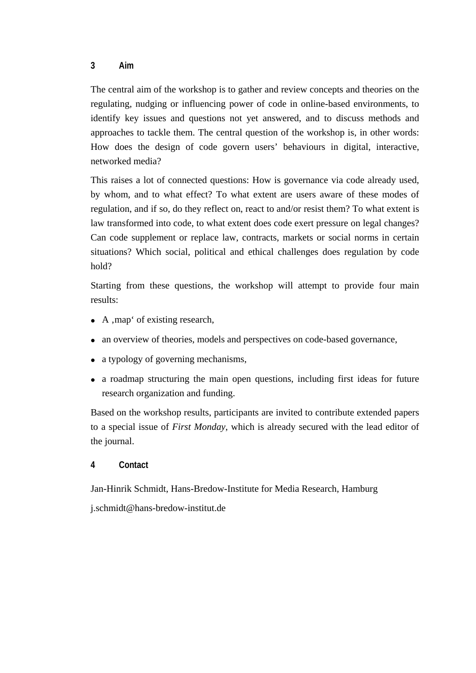#### **3 Aim**

The central aim of the workshop is to gather and review concepts and theories on the regulating, nudging or influencing power of code in online-based environments, to identify key issues and questions not yet answered, and to discuss methods and approaches to tackle them. The central question of the workshop is, in other words: How does the design of code govern users' behaviours in digital, interactive, networked media?

This raises a lot of connected questions: How is governance via code already used, by whom, and to what effect? To what extent are users aware of these modes of regulation, and if so, do they reflect on, react to and/or resist them? To what extent is law transformed into code, to what extent does code exert pressure on legal changes? Can code supplement or replace law, contracts, markets or social norms in certain situations? Which social, political and ethical challenges does regulation by code hold?

Starting from these questions, the workshop will attempt to provide four main results:

- $\bullet$  A, map' of existing research,
- an overview of theories, models and perspectives on code-based governance,
- a typology of governing mechanisms,
- a roadmap structuring the main open questions, including first ideas for future research organization and funding.

Based on the workshop results, participants are invited to contribute extended papers to a special issue of *First Monday*, which is already secured with the lead editor of the journal.

## **4 Contact**

Jan-Hinrik Schmidt, Hans-Bredow-Institute for Media Research, Hamburg

j.schmidt@hans-bredow-institut.de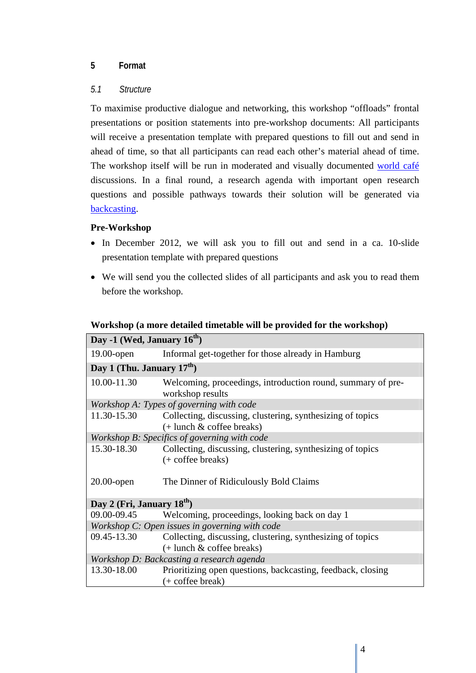## **5 Format**

#### *5.1 Structure*

To maximise productive dialogue and networking, this workshop "offloads" frontal presentations or position statements into pre-workshop documents: All participants will receive a presentation template with prepared questions to fill out and send in ahead of time, so that all participants can read each other's material ahead of time. The workshop itself will be run in moderated and visually documented world café discussions. In a final round, a research agenda with important open research questions and possible pathways towards their solution will be generated via backcasting.

#### **Pre-Workshop**

- In December 2012, we will ask you to fill out and send in a ca. 10-slide presentation template with prepared questions
- We will send you the collected slides of all participants and ask you to read them before the workshop.

| Day -1 (Wed, January $16^{th}$ )               |                                                                                           |
|------------------------------------------------|-------------------------------------------------------------------------------------------|
| $19.00$ -open                                  | Informal get-together for those already in Hamburg                                        |
| Day 1 (Thu. January $17th$ )                   |                                                                                           |
| 10.00-11.30                                    | Welcoming, proceedings, introduction round, summary of pre-<br>workshop results           |
| Workshop A: Types of governing with code       |                                                                                           |
| 11.30-15.30                                    | Collecting, discussing, clustering, synthesizing of topics<br>$(+$ lunch & coffee breaks) |
| Workshop B: Specifics of governing with code   |                                                                                           |
| 15.30-18.30                                    | Collecting, discussing, clustering, synthesizing of topics<br>$(+ \text{ coffee breaks})$ |
| $20.00$ -open                                  | The Dinner of Ridiculously Bold Claims                                                    |
| Day 2 (Fri, January 18 <sup>th</sup> )         |                                                                                           |
| 09.00-09.45                                    | Welcoming, proceedings, looking back on day 1                                             |
| Workshop C: Open issues in governing with code |                                                                                           |
| 09.45-13.30                                    | Collecting, discussing, clustering, synthesizing of topics<br>$(+$ lunch & coffee breaks) |
| Workshop D: Backcasting a research agenda      |                                                                                           |
| 13.30-18.00                                    | Prioritizing open questions, backcasting, feedback, closing<br>$(+ \text{ coffee break})$ |

#### **Workshop (a more detailed timetable will be provided for the workshop)**